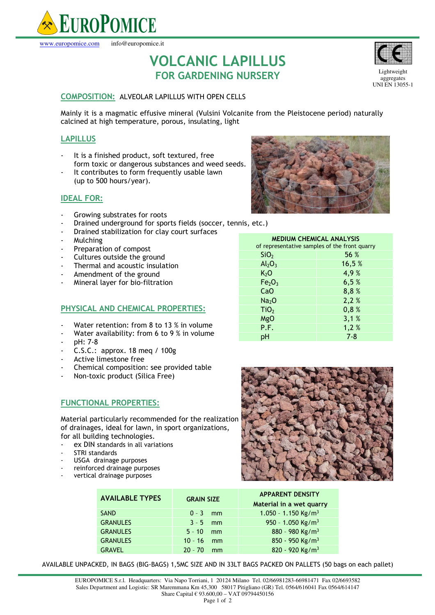

**VOLCANIC LAPILLUS FOR GARDENING NURSERY** 

# **COMPOSITION:** ALVEOLAR LAPILLUS WITH OPEN CELLS

Mainly it is a magmatic effusive mineral (Vulsini Volcanite from the Pleistocene period) naturally calcined at high temperature, porous, insulating, light

# **LAPILLUS**

- It is a finished product, soft textured, free form toxic or dangerous substances and weed seeds.
- It contributes to form frequently usable lawn (up to 500 hours/year).

# **IDEAL FOR:**

- Growing substrates for roots
- Drained underground for sports fields (soccer, tennis, etc.)
- Drained stabilization for clay court surfaces
- Mulching
- Preparation of compost
- Cultures outside the ground
- Thermal and acoustic insulation
- Amendment of the ground
- Mineral layer for bio-filtration

### **PHYSICAL AND CHEMICAL PROPERTIES:**

- Water retention: from 8 to 13 % in volume
- Water availability: from 6 to 9 % in volume
- pH: 7-8
- C.S.C.: approx. 18 meq / 100g
- Active limestone free
- Chemical composition: see provided table
- Non-toxic product (Silica Free)

# **FUNCTIONAL PROPERTIES:**

Material particularly recommended for the realization of drainages, ideal for lawn, in sport organizations, for all building technologies.

- ex DIN standards in all variations
- STRI standards
- USGA drainage purposes
- reinforced drainage purposes
- vertical drainage purposes



| <b>MEDIUM CHEMICAL ANALYSIS</b><br>of representative samples of the front quarry |         |  |
|----------------------------------------------------------------------------------|---------|--|
| SiO <sub>2</sub>                                                                 | 56 %    |  |
| $Al_2O_3$                                                                        | 16,5 %  |  |
| K <sub>2</sub> O                                                                 | 4,9%    |  |
| Fe <sub>2</sub> O <sub>3</sub>                                                   | 6,5%    |  |
| CaO                                                                              | 8,8%    |  |
| Na <sub>2</sub> O                                                                | 2,2%    |  |
| TiO <sub>2</sub>                                                                 | 0,8%    |  |
| MgO                                                                              | 3,1%    |  |
| P.F.                                                                             | 1,2%    |  |
| рH                                                                               | $7 - 8$ |  |
|                                                                                  |         |  |



| <b>AVAILABLE TYPES</b> | <b>GRAIN SIZE</b> | <b>APPARENT DENSITY</b><br>Material in a wet quarry |
|------------------------|-------------------|-----------------------------------------------------|
| <b>SAND</b>            | $0 - 3$ mm        | 1.050 - 1.150 Kg/m <sup>3</sup>                     |
| <b>GRANULES</b>        | $3 - 5$ mm        | 950 - 1.050 Kg/m <sup>3</sup>                       |
| <b>GRANULES</b>        | $5 - 10$<br>mm    | 880 - 980 Kg/m <sup>3</sup>                         |
| <b>GRANULES</b>        | $10 - 16$<br>mm   | 850 - 950 Kg/m <sup>3</sup>                         |
| <b>GRAVEL</b>          | $20 - 70$<br>mm   | 820 - 920 Kg/m <sup>3</sup>                         |

AVAILABLE UNPACKED, IN BAGS (BIG-BAGS) 1,5MC SIZE AND IN 33LT BAGS PACKED ON PALLETS (50 bags on each pallet)

EUROPOMICE S.r.l. Headquarters: Via Napo Torriani, 1 20124 Milano Tel. 02/66981283-66981471 Fax 02/6693582 Sales Department and Logistic: SR Maremmana Km 45,300 58017 Pitigliano (GR) Tel. 0564/616041 Fax 0564/614147 Share Capital € 93.600,00 – VAT 09794450156

Lightweight aggregates UNI EN 13055-1